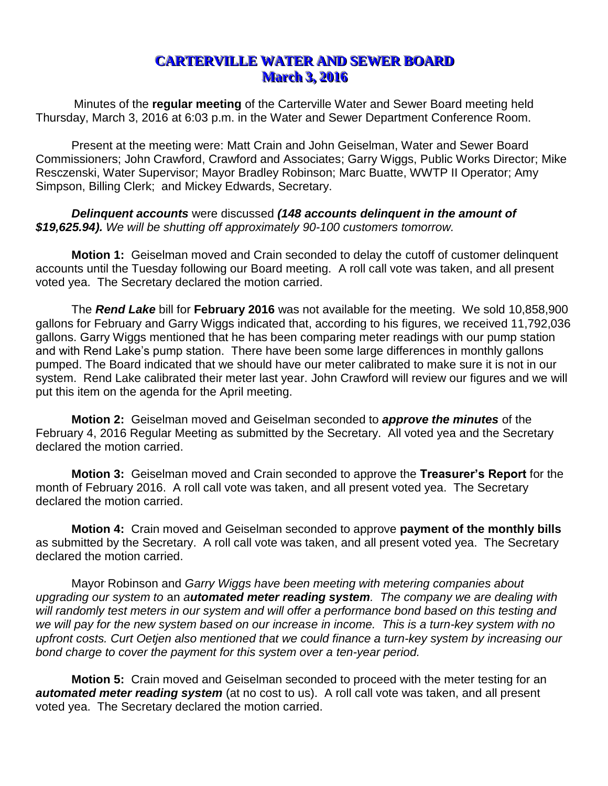## **CARTERVILLE WATER AND SEWER BOARD March 3, 2016**

Minutes of the **regular meeting** of the Carterville Water and Sewer Board meeting held Thursday, March 3, 2016 at 6:03 p.m. in the Water and Sewer Department Conference Room.

Present at the meeting were: Matt Crain and John Geiselman, Water and Sewer Board Commissioners; John Crawford, Crawford and Associates; Garry Wiggs, Public Works Director; Mike Resczenski, Water Supervisor; Mayor Bradley Robinson; Marc Buatte, WWTP II Operator; Amy Simpson, Billing Clerk; and Mickey Edwards, Secretary.

*Delinquent accounts* were discussed *(148 accounts delinquent in the amount of \$19,625.94). We will be shutting off approximately 90-100 customers tomorrow.* 

**Motion 1:** Geiselman moved and Crain seconded to delay the cutoff of customer delinquent accounts until the Tuesday following our Board meeting. A roll call vote was taken, and all present voted yea. The Secretary declared the motion carried.

The *Rend Lake* bill for **February 2016** was not available for the meeting. We sold 10,858,900 gallons for February and Garry Wiggs indicated that, according to his figures, we received 11,792,036 gallons. Garry Wiggs mentioned that he has been comparing meter readings with our pump station and with Rend Lake's pump station. There have been some large differences in monthly gallons pumped. The Board indicated that we should have our meter calibrated to make sure it is not in our system. Rend Lake calibrated their meter last year. John Crawford will review our figures and we will put this item on the agenda for the April meeting.

**Motion 2:** Geiselman moved and Geiselman seconded to *approve the minutes* of the February 4, 2016 Regular Meeting as submitted by the Secretary. All voted yea and the Secretary declared the motion carried.

**Motion 3:** Geiselman moved and Crain seconded to approve the **Treasurer's Report** for the month of February 2016. A roll call vote was taken, and all present voted yea. The Secretary declared the motion carried.

**Motion 4:** Crain moved and Geiselman seconded to approve **payment of the monthly bills** as submitted by the Secretary. A roll call vote was taken, and all present voted yea. The Secretary declared the motion carried.

Mayor Robinson and *Garry Wiggs have been meeting with metering companies about upgrading our system to* an *automated meter reading system. The company we are dealing with will randomly test meters in our system and will offer a performance bond based on this testing and we will pay for the new system based on our increase in income. This is a turn-key system with no upfront costs. Curt Oetjen also mentioned that we could finance a turn-key system by increasing our bond charge to cover the payment for this system over a ten-year period.* 

**Motion 5:** Crain moved and Geiselman seconded to proceed with the meter testing for an *automated meter reading system* (at no cost to us). A roll call vote was taken, and all present voted yea. The Secretary declared the motion carried.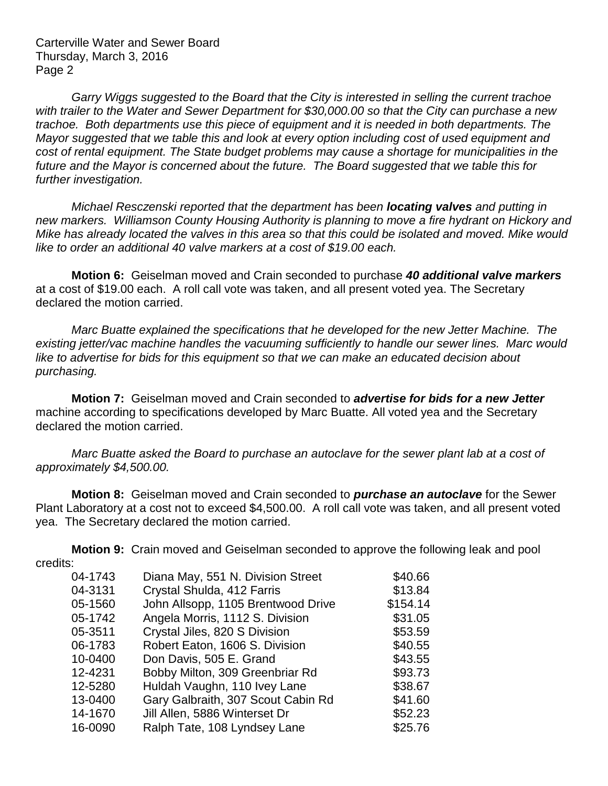Carterville Water and Sewer Board Thursday, March 3, 2016 Page 2

*Garry Wiggs suggested to the Board that the City is interested in selling the current trachoe with trailer to the Water and Sewer Department for \$30,000.00 so that the City can purchase a new trachoe. Both departments use this piece of equipment and it is needed in both departments. The Mayor suggested that we table this and look at every option including cost of used equipment and cost of rental equipment. The State budget problems may cause a shortage for municipalities in the future and the Mayor is concerned about the future. The Board suggested that we table this for further investigation.*

*Michael Resczenski reported that the department has been locating valves and putting in new markers. Williamson County Housing Authority is planning to move a fire hydrant on Hickory and Mike has already located the valves in this area so that this could be isolated and moved. Mike would like to order an additional 40 valve markers at a cost of \$19.00 each.* 

**Motion 6:** Geiselman moved and Crain seconded to purchase *40 additional valve markers*  at a cost of \$19.00 each. A roll call vote was taken, and all present voted yea. The Secretary declared the motion carried.

*Marc Buatte explained the specifications that he developed for the new Jetter Machine. The existing jetter/vac machine handles the vacuuming sufficiently to handle our sewer lines. Marc would like to advertise for bids for this equipment so that we can make an educated decision about purchasing.* 

**Motion 7:** Geiselman moved and Crain seconded to *advertise for bids for a new Jetter* machine according to specifications developed by Marc Buatte. All voted yea and the Secretary declared the motion carried.

*Marc Buatte asked the Board to purchase an autoclave for the sewer plant lab at a cost of approximately \$4,500.00.*

**Motion 8:** Geiselman moved and Crain seconded to *purchase an autoclave* for the Sewer Plant Laboratory at a cost not to exceed \$4,500.00. A roll call vote was taken, and all present voted yea. The Secretary declared the motion carried.

**Motion 9:** Crain moved and Geiselman seconded to approve the following leak and pool credits:

| Diana May, 551 N. Division Street  | \$40.66  |
|------------------------------------|----------|
| Crystal Shulda, 412 Farris         | \$13.84  |
| John Allsopp, 1105 Brentwood Drive | \$154.14 |
| Angela Morris, 1112 S. Division    | \$31.05  |
| Crystal Jiles, 820 S Division      | \$53.59  |
| Robert Eaton, 1606 S. Division     | \$40.55  |
| Don Davis, 505 E. Grand            | \$43.55  |
| Bobby Milton, 309 Greenbriar Rd    | \$93.73  |
| Huldah Vaughn, 110 Ivey Lane       | \$38.67  |
| Gary Galbraith, 307 Scout Cabin Rd | \$41.60  |
| Jill Allen, 5886 Winterset Dr      | \$52.23  |
| Ralph Tate, 108 Lyndsey Lane       | \$25.76  |
|                                    |          |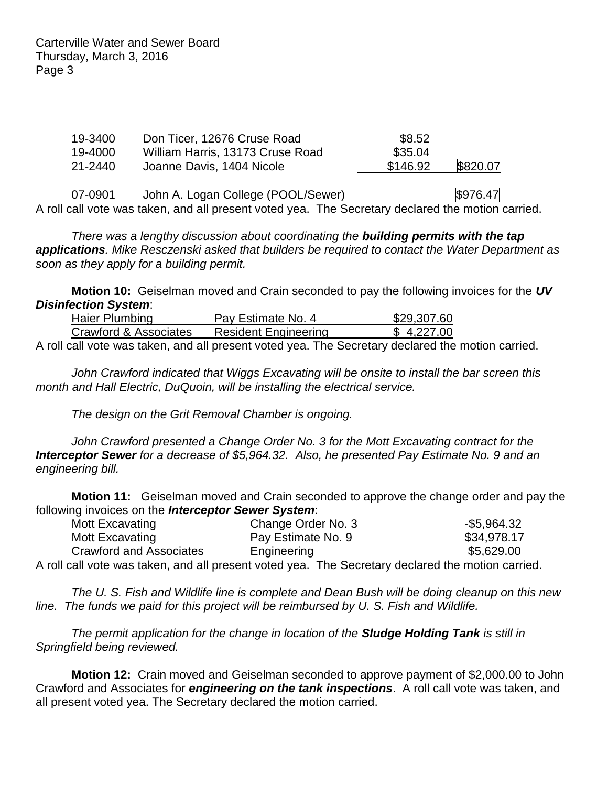Carterville Water and Sewer Board Thursday, March 3, 2016 Page 3

| 19-3400 | Don Ticer, 12676 Cruse Road      | \$8.52   |          |
|---------|----------------------------------|----------|----------|
| 19-4000 | William Harris, 13173 Cruse Road | \$35.04  |          |
| 21-2440 | Joanne Davis, 1404 Nicole        | \$146.92 | \$820.07 |

07-0901 John A. Logan College (POOL/Sewer)  $$976.47$ A roll call vote was taken, and all present voted yea. The Secretary declared the motion carried.

*There was a lengthy discussion about coordinating the building permits with the tap applications. Mike Resczenski asked that builders be required to contact the Water Department as soon as they apply for a building permit.*

**Motion 10:** Geiselman moved and Crain seconded to pay the following invoices for the *UV Disinfection System*:

| Haier Plumbing        |                                                                                                                                                                                                                               |  | Pay Estimate No. 4 |  |                             |  |  | \$29,307.60 |
|-----------------------|-------------------------------------------------------------------------------------------------------------------------------------------------------------------------------------------------------------------------------|--|--------------------|--|-----------------------------|--|--|-------------|
| Crawford & Associates |                                                                                                                                                                                                                               |  |                    |  | <b>Resident Engineering</b> |  |  | \$4,227.00  |
|                       | . The contract of the contract of the contract of the contract of the contract of the contract of the contract of the contract of the contract of the contract of the contract of the contract of the contract of the contrac |  |                    |  | ___                         |  |  |             |

A roll call vote was taken, and all present voted yea. The Secretary declared the motion carried.

*John Crawford indicated that Wiggs Excavating will be onsite to install the bar screen this month and Hall Electric, DuQuoin, will be installing the electrical service.* 

*The design on the Grit Removal Chamber is ongoing.*

*John Crawford presented a Change Order No. 3 for the Mott Excavating contract for the Interceptor Sewer for a decrease of \$5,964.32. Also, he presented Pay Estimate No. 9 and an engineering bill.*

**Motion 11:** Geiselman moved and Crain seconded to approve the change order and pay the following invoices on the *Interceptor Sewer System*:

| Mott Excavating                                                                                   | Change Order No. 3 | $-$5,964.32$ |
|---------------------------------------------------------------------------------------------------|--------------------|--------------|
| Mott Excavating                                                                                   | Pay Estimate No. 9 | \$34,978.17  |
| Crawford and Associates                                                                           | Engineering        | \$5,629.00   |
| A roll call vote was taken, and all present voted yea. The Secretary declared the motion carried. |                    |              |

*The U. S. Fish and Wildlife line is complete and Dean Bush will be doing cleanup on this new line. The funds we paid for this project will be reimbursed by U. S. Fish and Wildlife.*

*The permit application for the change in location of the Sludge Holding Tank is still in Springfield being reviewed.*

**Motion 12:** Crain moved and Geiselman seconded to approve payment of \$2,000.00 to John Crawford and Associates for *engineering on the tank inspections*. A roll call vote was taken, and all present voted yea. The Secretary declared the motion carried.